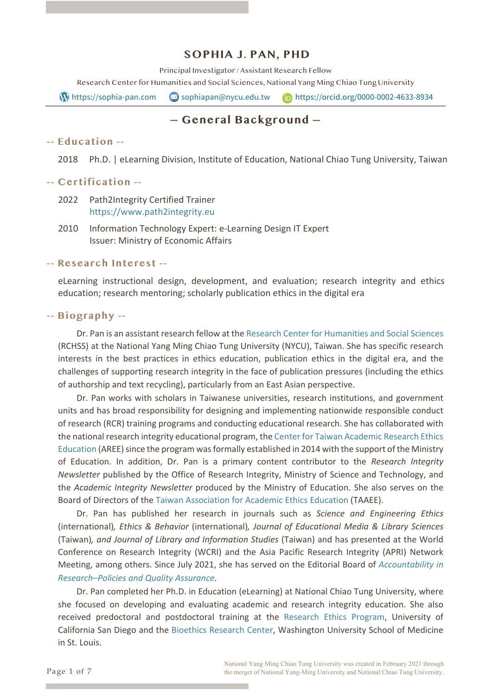### **SOPHIA J. PAN, PHD**

Principal Investigator / Assistant Research Fellow

Research Center for Humanities and Social Sciences, National Yang Ming Chiao Tung University

 $\overline{\mathbf{W}}$  https://sophia-pan.com  $\overline{\mathbf{S}}$  sophiapan@nycu.edu.tw  $\overline{\mathbf{h}}$  https://orcid.org/0000-0002-4633-8934

### **─ General Background ─**

#### **-- Education --**

2018 Ph.D. | eLearning Division, Institute of Education, National Chiao Tung University, Taiwan

#### **-- Certification --**

- 2022 Path2Integrity Certified Trainer https://www.path2integrity.eu
- 2010Information Technology Expert: e-Learning Design IT Expert Issuer: Ministry of Economic Affairs

#### **-- Research Interest --**

eLearning instructional design, development, and evaluation; research integrity and ethics education; research mentoring; scholarly publication ethics in the digital era

#### **-- Biography --**

Dr. Pan is an assistant research fellow at the Research Center for Humanities and Social Sciences (RCHSS) at the National Yang Ming Chiao Tung University (NYCU), Taiwan. She has specific research interests in the best practices in ethics education, publication ethics in the digital era, and the challenges of supporting research integrity in the face of publication pressures (including the ethics of authorship and text recycling), particularly from an East Asian perspective.

Dr. Pan works with scholars in Taiwanese universities, research institutions, and government units and has broad responsibility for designing and implementing nationwide responsible conduct of research (RCR) training programs and conducting educational research. She has collaborated with the national research integrity educational program, the Center for Taiwan Academic Research Ethics Education (AREE) since the program was formally established in 2014 with the support of the Ministry of Education. In addition, Dr. Pan is a primary content contributor to the *Research Integrity Newsletter* published by the Office of Research Integrity, Ministry of Science and Technology, and the *Academic Integrity Newsletter* produced by the Ministry of Education. She also serves on the Board of Directors of the Taiwan Association for Academic Ethics Education (TAAEE).

Dr. Pan has published her research in journals such as *Science and Engineering Ethics* (international)*, Ethics & Behavior* (international)*, Journal of Educational Media & Library Sciences* (Taiwan)*, and Journal of Library and Information Studies* (Taiwan) and has presented at the World Conference on Research Integrity (WCRI) and the Asia Pacific Research Integrity (APRI) Network Meeting, among others. Since July 2021, she has served on the Editorial Board of *Accountability in Research*–*Policies and Quality Assurance*.

Dr. Pan completed her Ph.D. in Education (eLearning) at National Chiao Tung University, where she focused on developing and evaluating academic and research integrity education. She also received predoctoral and postdoctoral training at the Research Ethics Program, University of California San Diego and the Bioethics Research Center, Washington University School of Medicine in St. Louis.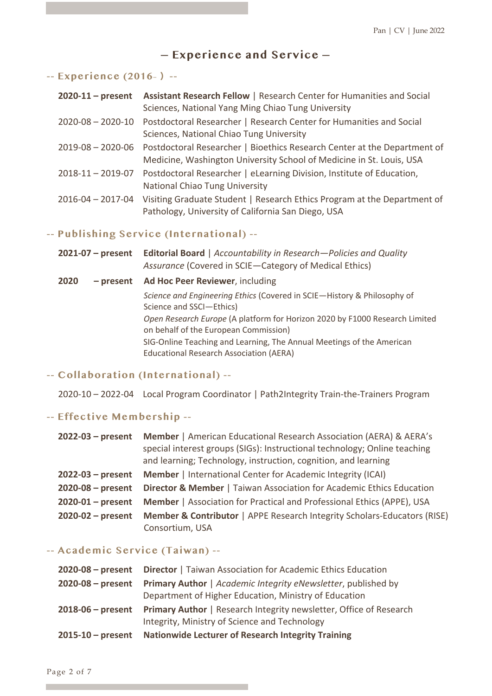# **─ Experience and Service ─**

### **-- Experience (2016–** )**--**

| $2020 - 11 - present$   | Assistant Research Fellow   Research Center for Humanities and Social<br>Sciences, National Yang Ming Chiao Tung University                      |
|-------------------------|--------------------------------------------------------------------------------------------------------------------------------------------------|
| $2020 - 08 - 2020 - 10$ | Postdoctoral Researcher   Research Center for Humanities and Social<br>Sciences, National Chiao Tung University                                  |
| $2019 - 08 - 2020 - 06$ | Postdoctoral Researcher   Bioethics Research Center at the Department of<br>Medicine, Washington University School of Medicine in St. Louis, USA |
| $2018 - 11 - 2019 - 07$ | Postdoctoral Researcher   eLearning Division, Institute of Education,<br>National Chiao Tung University                                          |
| $2016 - 04 - 2017 - 04$ | Visiting Graduate Student   Research Ethics Program at the Department of<br>Pathology, University of California San Diego, USA                   |

## **-- Publishing Service (International) --**

|      | 2021-07 - present Editorial Board   Accountability in Research-Policies and Quality<br>Assurance (Covered in SCIE-Category of Medical Ethics)                                                                                                                                                        |
|------|------------------------------------------------------------------------------------------------------------------------------------------------------------------------------------------------------------------------------------------------------------------------------------------------------|
| 2020 | - present Ad Hoc Peer Reviewer, including                                                                                                                                                                                                                                                            |
|      | Science and Engineering Ethics (Covered in SCIE-History & Philosophy of<br>Science and SSCI-Ethics)<br>Open Research Europe (A platform for Horizon 2020 by F1000 Research Limited<br>on behalf of the European Commission)<br>SIG-Online Teaching and Learning, The Annual Meetings of the American |
|      | <b>Educational Research Association (AERA)</b>                                                                                                                                                                                                                                                       |

### **-- Collaboration (International) --**

2020-10 – 2022-04 Local Program Coordinator | Path2Integrity Train-the-Trainers Program

## **-- Effective Membership --**

| $2022-03$ – present   | Member   American Educational Research Association (AERA) & AERA's<br>special interest groups (SIGs): Instructional technology; Online teaching<br>and learning; Technology, instruction, cognition, and learning |
|-----------------------|-------------------------------------------------------------------------------------------------------------------------------------------------------------------------------------------------------------------|
| $2022-03$ – present   | Member   International Center for Academic Integrity (ICAI)                                                                                                                                                       |
| $2020-08$ – present   | <b>Director &amp; Member   Taiwan Association for Academic Ethics Education</b>                                                                                                                                   |
| $2020 - 01 - present$ | Member   Association for Practical and Professional Ethics (APPE), USA                                                                                                                                            |
| $2020-02$ – present   | <b>Member &amp; Contributor   APPE Research Integrity Scholars-Educators (RISE)</b>                                                                                                                               |
|                       | Consortium, USA                                                                                                                                                                                                   |

## **-- Academic Service (Taiwan) --**

| $2020-08$ – present   | <b>Director</b>   Taiwan Association for Academic Ethics Education        |
|-----------------------|---------------------------------------------------------------------------|
| $2020-08$ – present   | <b>Primary Author</b>   Academic Integrity eNewsletter, published by      |
|                       | Department of Higher Education, Ministry of Education                     |
| $2018-06$ – present   | <b>Primary Author</b>   Research Integrity newsletter, Office of Research |
|                       | Integrity, Ministry of Science and Technology                             |
| $2015 - 10$ – present | <b>Nationwide Lecturer of Research Integrity Training</b>                 |
|                       |                                                                           |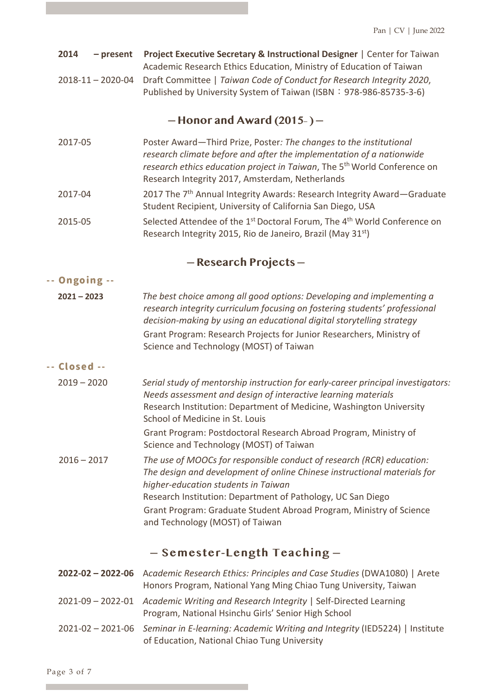| 2014<br>– present | <b>Project Executive Secretary &amp; Instructional Designer   Center for Taiwan</b>     |
|-------------------|-----------------------------------------------------------------------------------------|
|                   | Academic Research Ethics Education, Ministry of Education of Taiwan                     |
|                   | 2018-11 - 2020-04 Draft Committee   Taiwan Code of Conduct for Research Integrity 2020, |
|                   | Published by University System of Taiwan (ISBN : 978-986-85735-3-6)                     |

## **─ Honor and Award (2015– ) ─**

- 2017-05 Poster Award—Third Prize, Poster*: The changes to the institutional research climate before and after the implementation of a nationwide research ethics education project in Taiwan*, The 5<sup>th</sup> World Conference on Research Integrity 2017, Amsterdam, Netherlands
- 2017-04 2017 The 7<sup>th</sup> Annual Integrity Awards: Research Integrity Award-Graduate Student Recipient, University of California San Diego, USA
- 2015-05 Selected Attendee of the 1<sup>st</sup> Doctoral Forum, The 4<sup>th</sup> World Conference on Research Integrity 2015, Rio de Janeiro, Brazil (May 31st)

## **─ Research Projects ─**

### -- Ongoing --

**2021 – 2023** *The best choice among all good options: Developing and implementing a research integrity curriculum focusing on fostering students' professional decision-making by using an educational digital storytelling strategy* Grant Program: Research Projects for Junior Researchers, Ministry of Science and Technology (MOST) of Taiwan

### -- Closed --

- 2019 2020 *Serial study of mentorship instruction for early-career principal investigators: Needs assessment and design of interactive learning materials* Research Institution: Department of Medicine, Washington University School of Medicine in St. Louis Grant Program: Postdoctoral Research Abroad Program, Ministry of Science and Technology (MOST) of Taiwan
- 2016 2017 *The use of MOOCs for responsible conduct of research (RCR) education: The design and development of online Chinese instructional materials for higher-education students in Taiwan* Research Institution: Department of Pathology, UC San Diego Grant Program: Graduate Student Abroad Program, Ministry of Science and Technology (MOST) of Taiwan

## **─ Semester-Length Teaching ─**

- **2022-02 – 2022-06** A*cademic Research Ethics: Principles and Case Studies* (DWA1080) | Arete Honors Program, National Yang Ming Chiao Tung University, Taiwan 2021-09 – 2022-01 *Academic Writing and Research Integrity* | Self-Directed Learning Program, National Hsinchu Girls' Senior High School
- 2021-02 2021-06 *Seminar in E-learning: Academic Writing and Integrity* (IED5224) | Institute of Education, National Chiao Tung University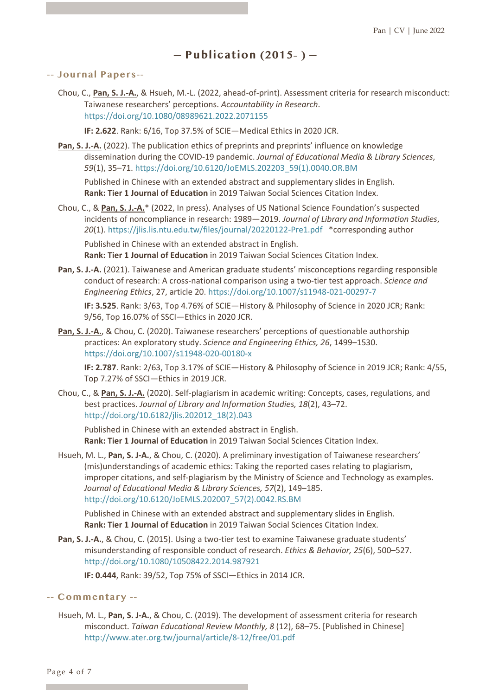## **─ Publication (2015– ) ─**

#### **-- Journal Papers--**

Chou, C., **Pan, S. J.-A.**, & Hsueh, M.-L. (2022, ahead-of-print). Assessment criteria for research misconduct: Taiwanese researchers' perceptions. *Accountability in Research*. https://doi.org/10.1080/08989621.2022.2071155

**IF: 2.622**. Rank: 6/16, Top 37.5% of SCIE—Medical Ethics in 2020 JCR.

**Pan, S. J.-A.** (2022). The publication ethics of preprints and preprints' influence on knowledge dissemination during the COVID-19 pandemic. *Journal of Educational Media & Library Sciences*, *59*(1), 35–71. https://doi.org/10.6120/JoEMLS.202203\_59(1).0040.OR.BM

Published in Chinese with an extended abstract and supplementary slides in English. **Rank: Tier 1 Journal of Education** in 2019 Taiwan Social Sciences Citation Index.

Chou, C., & **Pan, S. J.-A.**\* (2022, In press). Analyses of US National Science Foundation's suspected incidents of noncompliance in research: 1989—2019. *Journal of Library and Information Studies*, *20*(1). https://jlis.lis.ntu.edu.tw/files/journal/20220122-Pre1.pdf \*corresponding author

Published in Chinese with an extended abstract in English. **Rank: Tier 1 Journal of Education** in 2019 Taiwan Social Sciences Citation Index.

Pan, S. J.-A. (2021). Taiwanese and American graduate students' misconceptions regarding responsible conduct of research: A cross-national comparison using a two-tier test approach. *Science and Engineering Ethics*, 27, article 20. https://doi.org/10.1007/s11948-021-00297-7

**IF: 3.525**. Rank: 3/63, Top 4.76% of SCIE—History & Philosophy of Science in 2020 JCR; Rank: 9/56, Top 16.07% of SSCI—Ethics in 2020 JCR.

**Pan, S. J.-A.**, & Chou, C. (2020). Taiwanese researchers' perceptions of questionable authorship practices: An exploratory study. *Science and Engineering Ethics, 26*, 1499–1530. https://doi.org/10.1007/s11948-020-00180-x

**IF: 2.787**. Rank: 2/63, Top 3.17% of SCIE—History & Philosophy of Science in 2019 JCR; Rank: 4/55, Top 7.27% of SSCI—Ethics in 2019 JCR.

Chou, C., & **Pan, S. J.-A.** (2020). Self-plagiarism in academic writing: Concepts, cases, regulations, and best practices. *Journal of Library and Information Studies, 18*(2), 43–72. http://doi.org/10.6182/jlis.202012\_18(2).043

Published in Chinese with an extended abstract in English. **Rank: Tier 1 Journal of Education** in 2019 Taiwan Social Sciences Citation Index.

Hsueh, M. L., **Pan, S. J-A.**, & Chou, C. (2020). A preliminary investigation of Taiwanese researchers' (mis)understandings of academic ethics: Taking the reported cases relating to plagiarism, improper citations, and self-plagiarism by the Ministry of Science and Technology as examples. *Journal of Educational Media & Library Sciences, 57*(2), 149–185. http://doi.org/10.6120/JoEMLS.202007\_57(2).0042.RS.BM

Published in Chinese with an extended abstract and supplementary slides in English. **Rank: Tier 1 Journal of Education** in 2019 Taiwan Social Sciences Citation Index.

**Pan, S. J.-A.**, & Chou, C. (2015). Using a two-tier test to examine Taiwanese graduate students' misunderstanding of responsible conduct of research. *Ethics & Behavior, 25*(6), 500–527. http://doi.org/10.1080/10508422.2014.987921

**IF: 0.444**, Rank: 39/52, Top 75% of SSCI—Ethics in 2014 JCR.

#### **-- Commentary --**

Hsueh, M. L., **Pan, S. J-A.**, & Chou, C. (2019). The development of assessment criteria for research misconduct. *Taiwan Educational Review Monthly, 8* (12), 68–75. [Published in Chinese] http://www.ater.org.tw/journal/article/8-12/free/01.pdf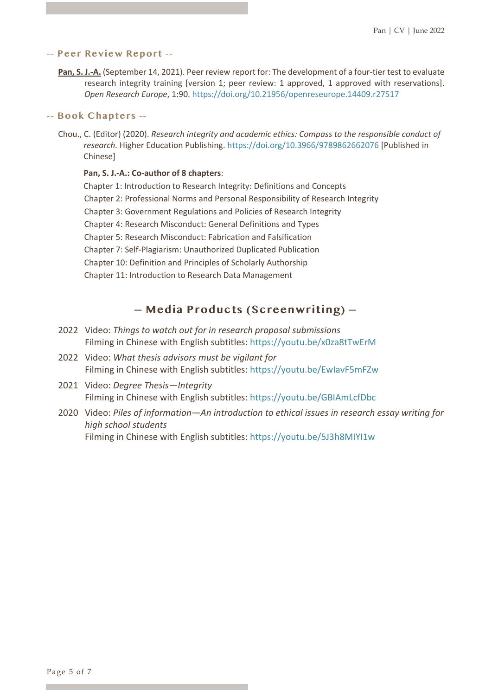#### **-- Peer Review Report --**

**Pan, S. J.-A.** (September 14, 2021). Peer review report for: The development of a four-tier test to evaluate research integrity training [version 1; peer review: 1 approved, 1 approved with reservations]. *Open Research Europe*, 1:90. https://doi.org/10.21956/openreseurope.14409.r27517

#### **-- Book Chapters --**

Chou., C. (Editor) (2020). *Research integrity and academic ethics: Compass to the responsible conduct of research.* Higher Education Publishing. https://doi.org/10.3966/9789862662076 [Published in Chinese]

#### **Pan, S. J.-A.: Co-author of 8 chapters**:

Chapter 1: Introduction to Research Integrity: Definitions and Concepts Chapter 2: Professional Norms and Personal Responsibility of Research Integrity Chapter 3: Government Regulations and Policies of Research Integrity Chapter 4: Research Misconduct: General Definitions and Types Chapter 5: Research Misconduct: Fabrication and Falsification Chapter 7: Self-Plagiarism: Unauthorized Duplicated Publication Chapter 10: Definition and Principles of Scholarly Authorship Chapter 11: Introduction to Research Data Management

## **─ Media Products (Screenwriting) ─**

- 2022 Video: *Things to watch out for in research proposal submissions*  Filming in Chinese with English subtitles: https://youtu.be/x0za8tTwErM
- 2022 Video: *What thesis advisors must be vigilant for*  Filming in Chinese with English subtitles: https://youtu.be/EwIavF5mFZw
- 2021 Video: *Degree Thesis—Integrity* Filming in Chinese with English subtitles: https://youtu.be/GBIAmLcfDbc
- 2020 Video: *Piles of information—An introduction to ethical issues in research essay writing for high school students* Filming in Chinese with English subtitles: https://youtu.be/5J3h8MIYI1w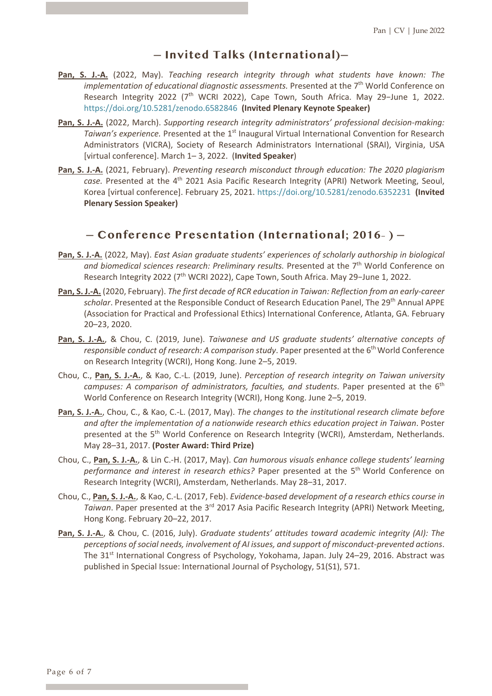### **─ Invited Talks (International)─**

- **Pan, S. J.-A.** (2022, May). *Teaching research integrity through what students have known: The implementation of educational diagnostic assessments.* Presented at the 7<sup>th</sup> World Conference on Research Integrity 2022 (7<sup>th</sup> WCRI 2022), Cape Town, South Africa. May 29-June 1, 2022. https://doi.org/10.5281/zenodo.6582846 **(Invited Plenary Keynote Speaker)**
- **Pan, S. J.-A.** (2022, March). *Supporting research integrity administrators' professional decision-making:*  Taiwan's experience. Presented at the 1<sup>st</sup> Inaugural Virtual International Convention for Research Administrators (VICRA), Society of Research Administrators International (SRAI), Virginia, USA [virtual conference]. March 1– 3, 2022. (**Invited Speaker**)
- **Pan, S. J.-A.** (2021, February). *Preventing research misconduct through education: The 2020 plagiarism*  case. Presented at the 4<sup>th</sup> 2021 Asia Pacific Research Integrity (APRI) Network Meeting, Seoul, Korea [virtual conference]. February 25, 2021. https://doi.org/10.5281/zenodo.6352231 **(Invited Plenary Session Speaker)**

### **─ Conference Presentation (International; 2016– ) ─**

- **Pan, S. J.-A.** (2022, May). *East Asian graduate students' experiences of scholarly authorship in biological*  and biomedical sciences research: Preliminary results. Presented at the 7<sup>th</sup> World Conference on Research Integrity 2022 (7<sup>th</sup> WCRI 2022), Cape Town, South Africa. May 29-June 1, 2022.
- **Pan, S. J.-A.** (2020, February). *The first decade of RCR education in Taiwan: Reflection from an early-career*  scholar. Presented at the Responsible Conduct of Research Education Panel, The 29<sup>th</sup> Annual APPE (Association for Practical and Professional Ethics) International Conference, Atlanta, GA. February 20–23, 2020.
- **Pan, S. J.-A.**, & Chou, C. (2019, June). *Taiwanese and US graduate students' alternative concepts of responsible conduct of research: A comparison study*. Paper presented at the 6<sup>th</sup> World Conference on Research Integrity (WCRI), Hong Kong. June 2–5, 2019.
- Chou, C., **Pan, S. J.-A.**, & Kao, C.-L. (2019, June). *Perception of research integrity on Taiwan university*  campuses: A comparison of administrators, faculties, and students. Paper presented at the 6<sup>th</sup> World Conference on Research Integrity (WCRI), Hong Kong. June 2–5, 2019.
- **Pan, S. J.-A.**, Chou, C., & Kao, C.-L. (2017, May). *The changes to the institutional research climate before and after the implementation of a nationwide research ethics education project in Taiwan*. Poster presented at the 5<sup>th</sup> World Conference on Research Integrity (WCRI), Amsterdam, Netherlands. May 28–31, 2017. **(Poster Award: Third Prize)**
- Chou, C., **Pan, S. J.-A.**, & Lin C.-H. (2017, May). *Can humorous visuals enhance college students' learning performance and interest in research ethics?* Paper presented at the 5<sup>th</sup> World Conference on Research Integrity (WCRI), Amsterdam, Netherlands. May 28–31, 2017.
- Chou, C., **Pan, S. J.-A.**, & Kao, C.-L. (2017, Feb). *Evidence-based development of a research ethics course in Taiwan*. Paper presented at the 3rd 2017 Asia Pacific Research Integrity (APRI) Network Meeting, Hong Kong. February 20–22, 2017.
- **Pan, S. J.-A.**, & Chou, C. (2016, July). *Graduate students' attitudes toward academic integrity (AI): The perceptions of social needs, involvement of AI issues, and support of misconduct-prevented actions*. The 31<sup>st</sup> International Congress of Psychology, Yokohama, Japan. July 24–29, 2016. Abstract was published in Special Issue: International Journal of Psychology, 51(S1), 571.